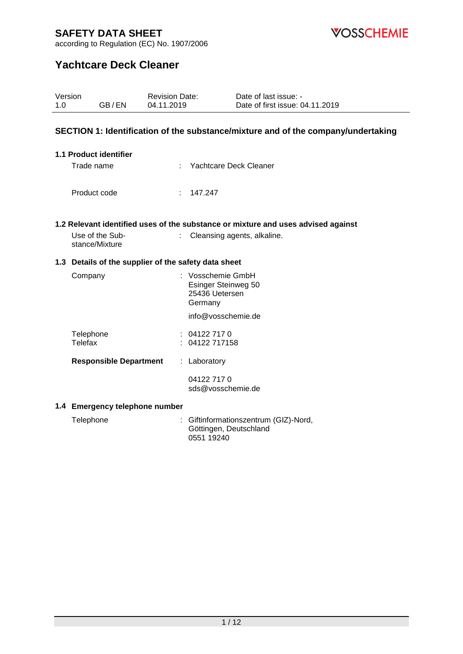Version



according to Regulation (EC) No. 1907/2006

Revision Date:

Telefax : 04122 717158

**Responsible Department** : Laboratory

**1.4 Emergency telephone number**

# **Yachtcare Deck Cleaner**

| 1.0 | GB/EN                                                | 04.11.2019 | Date of first issue: 04.11.2019                                                                                  |
|-----|------------------------------------------------------|------------|------------------------------------------------------------------------------------------------------------------|
|     |                                                      |            | SECTION 1: Identification of the substance/mixture and of the company/undertaking                                |
|     | 1.1 Product identifier<br>Trade name                 |            | Yachtcare Deck Cleaner                                                                                           |
|     | Product code                                         | t.         | 147.247                                                                                                          |
|     | Use of the Sub-<br>stance/Mixture                    | t.         | 1.2 Relevant identified uses of the substance or mixture and uses advised against<br>Cleansing agents, alkaline. |
|     | 1.3 Details of the supplier of the safety data sheet |            |                                                                                                                  |
|     | Company                                              |            | : Vosschemie GmbH<br>Esinger Steinweg 50<br>25436 Uetersen<br>Germany                                            |
|     |                                                      |            | info@vosschemie.de                                                                                               |
|     | Telephone                                            |            | : 041227170                                                                                                      |

04122 717 0

0551 19240

Telephone : Giftinformationszentrum (GIZ)-Nord,

sds@vosschemie.de

Göttingen, Deutschland

Date of last issue: -

1 / 12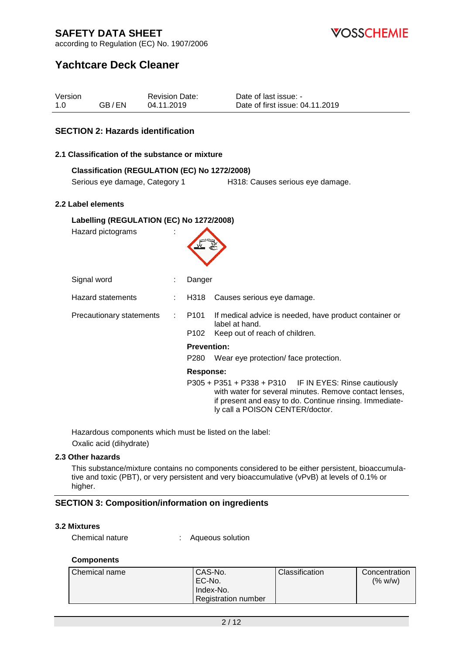**VOSSCHEMIE** 

according to Regulation (EC) No. 1907/2006

## **Yachtcare Deck Cleaner**

| Version |       | <b>Revision Date:</b> | Date of last issue: -           |
|---------|-------|-----------------------|---------------------------------|
| -1.0    | GB/EN | 04.11.2019            | Date of first issue: 04.11.2019 |

## **SECTION 2: Hazards identification**

### **2.1 Classification of the substance or mixture**

### **Classification (REGULATION (EC) No 1272/2008)**

Serious eye damage, Category 1 H318: Causes serious eye damage.

#### **2.2 Label elements**

| Labelling (REGULATION (EC) No 1272/2008) |  |                    |                                                                                                                                                                                                                  |  |
|------------------------------------------|--|--------------------|------------------------------------------------------------------------------------------------------------------------------------------------------------------------------------------------------------------|--|
| Hazard pictograms                        |  |                    |                                                                                                                                                                                                                  |  |
| Signal word                              |  | Danger             |                                                                                                                                                                                                                  |  |
| <b>Hazard statements</b>                 |  | H318               | Causes serious eye damage.                                                                                                                                                                                       |  |
| Precautionary statements                 |  | P101               | If medical advice is needed, have product container or<br>label at hand.                                                                                                                                         |  |
|                                          |  | P <sub>102</sub>   | Keep out of reach of children.                                                                                                                                                                                   |  |
|                                          |  | <b>Prevention:</b> |                                                                                                                                                                                                                  |  |
|                                          |  | P280               | Wear eye protection/ face protection.                                                                                                                                                                            |  |
|                                          |  | Response:          |                                                                                                                                                                                                                  |  |
|                                          |  |                    | $P305 + P351 + P338 + P310$ IF IN EYES: Rinse cautiously<br>with water for several minutes. Remove contact lenses,<br>if present and easy to do. Continue rinsing. Immediate-<br>ly call a POISON CENTER/doctor. |  |

Hazardous components which must be listed on the label: Oxalic acid (dihydrate)

### **2.3 Other hazards**

This substance/mixture contains no components considered to be either persistent, bioaccumulative and toxic (PBT), or very persistent and very bioaccumulative (vPvB) at levels of 0.1% or higher.

### **SECTION 3: Composition/information on ingredients**

#### **3.2 Mixtures**

Chemical nature : Aqueous solution

#### **Components**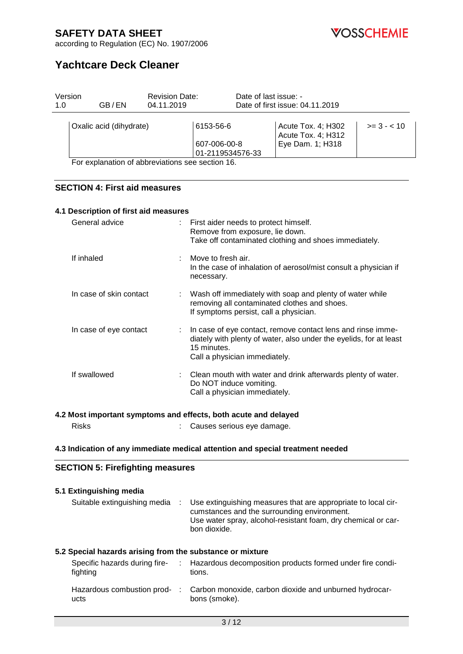

according to Regulation (EC) No. 1907/2006

# **Yachtcare Deck Cleaner**

| Version<br>1.0 | GB/EN                                           | <b>Revision Date:</b><br>04.11.2019 |                                               | Date of last issue: -<br>Date of first issue: 04.11.2019 |                                                              |             |
|----------------|-------------------------------------------------|-------------------------------------|-----------------------------------------------|----------------------------------------------------------|--------------------------------------------------------------|-------------|
|                | Oxalic acid (dihydrate)                         |                                     | 6153-56-6<br>607-006-00-8<br>01-2119534576-33 |                                                          | Acute Tox. 4; H302<br>Acute Tox. 4; H312<br>Eye Dam. 1; H318 | $>= 3 - 10$ |
|                | For explanation of abbreviations see section 16 |                                     |                                               |                                                          |                                                              |             |

For explanation of abbreviations see section 16.

### **SECTION 4: First aid measures**

| 4.1 Description of first aid measures |  |                                                                                                                                                                                     |  |  |
|---------------------------------------|--|-------------------------------------------------------------------------------------------------------------------------------------------------------------------------------------|--|--|
| General advice                        |  | : First aider needs to protect himself.<br>Remove from exposure, lie down.<br>Take off contaminated clothing and shoes immediately.                                                 |  |  |
| If inhaled                            |  | : Move to fresh air.<br>In the case of inhalation of aerosol/mist consult a physician if<br>necessary.                                                                              |  |  |
| In case of skin contact               |  | Wash off immediately with soap and plenty of water while<br>removing all contaminated clothes and shoes.<br>If symptoms persist, call a physician.                                  |  |  |
| In case of eye contact                |  | : In case of eye contact, remove contact lens and rinse imme-<br>diately with plenty of water, also under the eyelids, for at least<br>15 minutes.<br>Call a physician immediately. |  |  |
| If swallowed                          |  | : Clean mouth with water and drink afterwards plenty of water.<br>Do NOT induce vomiting.<br>Call a physician immediately.                                                          |  |  |

### **4.2 Most important symptoms and effects, both acute and delayed**

Risks : Causes serious eye damage.

#### **4.3 Indication of any immediate medical attention and special treatment needed**

## **SECTION 5: Firefighting measures**

# **5.1 Extinguishing media** Suitable extinguishing media : Use extinguishing measures that are appropriate to local circumstances and the surrounding environment. Use water spray, alcohol-resistant foam, dry chemical or carbon dioxide. **5.2 Special hazards arising from the substance or mixture**

| Specific hazards during fire-<br>fighting | : Hazardous decomposition products formed under fire condi-<br>tions.   |
|-------------------------------------------|-------------------------------------------------------------------------|
| Hazardous combustion prod-<br>ucts        | Carbon monoxide, carbon dioxide and unburned hydrocar-<br>bons (smoke). |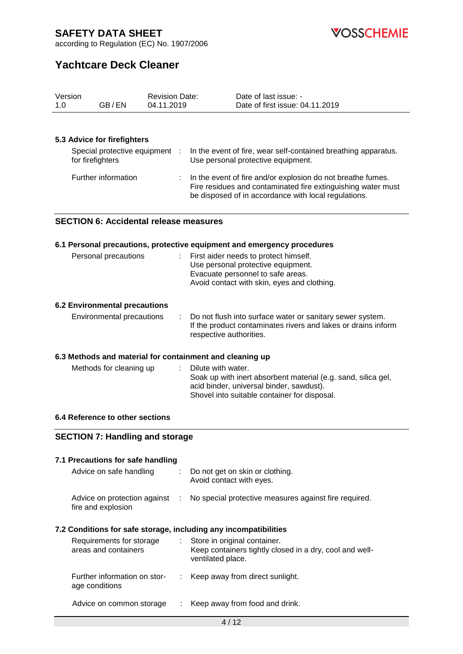

according to Regulation (EC) No. 1907/2006

# **Yachtcare Deck Cleaner**

| 1.0                                                              | Version<br>GB/EN                                   | <b>Revision Date:</b><br>04.11.2019 | Date of last issue: -<br>Date of first issue: 04.11.2019                                                                                                                            |  |  |
|------------------------------------------------------------------|----------------------------------------------------|-------------------------------------|-------------------------------------------------------------------------------------------------------------------------------------------------------------------------------------|--|--|
|                                                                  |                                                    |                                     |                                                                                                                                                                                     |  |  |
|                                                                  |                                                    |                                     |                                                                                                                                                                                     |  |  |
|                                                                  | 5.3 Advice for firefighters                        |                                     |                                                                                                                                                                                     |  |  |
|                                                                  | Special protective equipment :<br>for firefighters |                                     | In the event of fire, wear self-contained breathing apparatus.<br>Use personal protective equipment.                                                                                |  |  |
|                                                                  | Further information                                |                                     | In the event of fire and/or explosion do not breathe fumes.<br>Fire residues and contaminated fire extinguishing water must<br>be disposed of in accordance with local regulations. |  |  |
|                                                                  | <b>SECTION 6: Accidental release measures</b>      |                                     |                                                                                                                                                                                     |  |  |
|                                                                  |                                                    |                                     | 6.1 Personal precautions, protective equipment and emergency procedures                                                                                                             |  |  |
|                                                                  | Personal precautions                               |                                     | First aider needs to protect himself.<br>Use personal protective equipment.<br>Evacuate personnel to safe areas.<br>Avoid contact with skin, eyes and clothing.                     |  |  |
|                                                                  | <b>6.2 Environmental precautions</b>               |                                     |                                                                                                                                                                                     |  |  |
|                                                                  | Environmental precautions                          | ÷                                   | Do not flush into surface water or sanitary sewer system.<br>If the product contaminates rivers and lakes or drains inform<br>respective authorities.                               |  |  |
|                                                                  |                                                    |                                     | 6.3 Methods and material for containment and cleaning up                                                                                                                            |  |  |
|                                                                  | Methods for cleaning up                            |                                     | Dilute with water.<br>Soak up with inert absorbent material (e.g. sand, silica gel,<br>acid binder, universal binder, sawdust).<br>Shovel into suitable container for disposal.     |  |  |
|                                                                  | 6.4 Reference to other sections                    |                                     |                                                                                                                                                                                     |  |  |
|                                                                  | <b>SECTION 7: Handling and storage</b>             |                                     |                                                                                                                                                                                     |  |  |
|                                                                  | 7.1 Precautions for safe handling                  |                                     |                                                                                                                                                                                     |  |  |
|                                                                  | Advice on safe handling                            |                                     | Do not get on skin or clothing.<br>Avoid contact with eyes.                                                                                                                         |  |  |
|                                                                  | Advice on protection against<br>fire and explosion | - 11                                | No special protective measures against fire required.                                                                                                                               |  |  |
| 7.2 Conditions for safe storage, including any incompatibilities |                                                    |                                     |                                                                                                                                                                                     |  |  |
|                                                                  | Requirements for storage<br>areas and containers   |                                     | Store in original container.<br>Keep containers tightly closed in a dry, cool and well-<br>ventilated place.                                                                        |  |  |
|                                                                  | Further information on stor-<br>age conditions     |                                     | Keep away from direct sunlight.                                                                                                                                                     |  |  |
|                                                                  | Advice on common storage                           |                                     | Keep away from food and drink.                                                                                                                                                      |  |  |
|                                                                  |                                                    |                                     | 4/12                                                                                                                                                                                |  |  |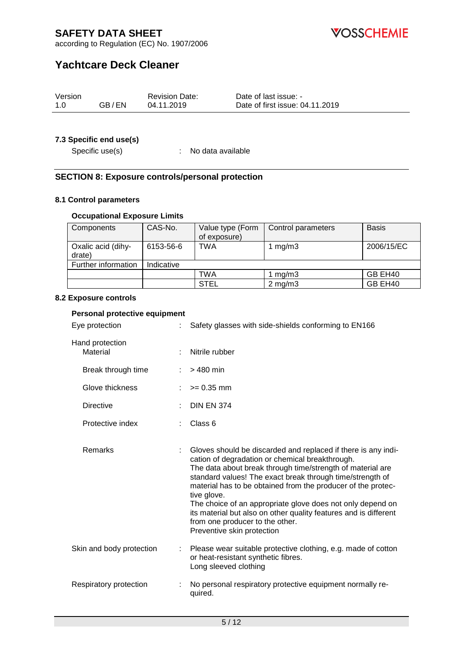**VOSSCHEMIE** 

according to Regulation (EC) No. 1907/2006

# **Yachtcare Deck Cleaner**

| Version |       | <b>Revision Date:</b> | Date of last issue: -           |
|---------|-------|-----------------------|---------------------------------|
| 1.0     | GB/EN | 04.11.2019            | Date of first issue: 04.11.2019 |

## **7.3 Specific end use(s)**

Specific use(s)  $\qquad \qquad$ : No data available

## **SECTION 8: Exposure controls/personal protection**

### **8.1 Control parameters**

## **Occupational Exposure Limits**

| Components                   | CAS-No.    | Value type (Form | Control parameters | <b>Basis</b> |
|------------------------------|------------|------------------|--------------------|--------------|
|                              |            | of exposure)     |                    |              |
| Oxalic acid (dihy-<br>drate) | 6153-56-6  | <b>TWA</b>       | 1 $mg/m3$          | 2006/15/EC   |
| Further information          | Indicative |                  |                    |              |
|                              |            | TWA              | 1 mg/m $3$         | GB EH40      |
|                              |            | <b>STEL</b>      | $2 \text{ mg/m}$ 3 | GB EH40      |

### **8.2 Exposure controls**

| Personal protective equipment     |                                                                                                                                                                                                                                                                                                                                                                                                                                                                                                                               |  |  |  |
|-----------------------------------|-------------------------------------------------------------------------------------------------------------------------------------------------------------------------------------------------------------------------------------------------------------------------------------------------------------------------------------------------------------------------------------------------------------------------------------------------------------------------------------------------------------------------------|--|--|--|
| Eye protection<br>÷.              | Safety glasses with side-shields conforming to EN166                                                                                                                                                                                                                                                                                                                                                                                                                                                                          |  |  |  |
| Hand protection<br>Material<br>÷. | Nitrile rubber                                                                                                                                                                                                                                                                                                                                                                                                                                                                                                                |  |  |  |
| Break through time                | $>480$ min                                                                                                                                                                                                                                                                                                                                                                                                                                                                                                                    |  |  |  |
| Glove thickness                   | $>= 0.35$ mm                                                                                                                                                                                                                                                                                                                                                                                                                                                                                                                  |  |  |  |
| <b>Directive</b>                  | <b>DIN EN 374</b>                                                                                                                                                                                                                                                                                                                                                                                                                                                                                                             |  |  |  |
| Protective index                  | Class 6                                                                                                                                                                                                                                                                                                                                                                                                                                                                                                                       |  |  |  |
| Remarks                           | Gloves should be discarded and replaced if there is any indi-<br>cation of degradation or chemical breakthrough.<br>The data about break through time/strength of material are<br>standard values! The exact break through time/strength of<br>material has to be obtained from the producer of the protec-<br>tive glove.<br>The choice of an appropriate glove does not only depend on<br>its material but also on other quality features and is different<br>from one producer to the other.<br>Preventive skin protection |  |  |  |
| Skin and body protection<br>÷     | Please wear suitable protective clothing, e.g. made of cotton<br>or heat-resistant synthetic fibres.<br>Long sleeved clothing                                                                                                                                                                                                                                                                                                                                                                                                 |  |  |  |
| Respiratory protection            | No personal respiratory protective equipment normally re-<br>quired.                                                                                                                                                                                                                                                                                                                                                                                                                                                          |  |  |  |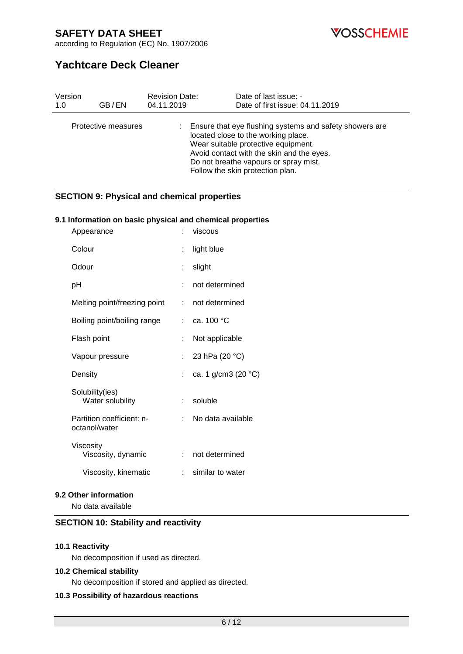**VOSSCHEMIE** 

according to Regulation (EC) No. 1907/2006

# **Yachtcare Deck Cleaner**

| Version | GB/EN               | <b>Revision Date:</b> | Date of last issue: -                                                                                                                                                                                                                                           |
|---------|---------------------|-----------------------|-----------------------------------------------------------------------------------------------------------------------------------------------------------------------------------------------------------------------------------------------------------------|
| 1.0     |                     | 04.11.2019            | Date of first issue: 04.11.2019                                                                                                                                                                                                                                 |
|         | Protective measures |                       | Ensure that eye flushing systems and safety showers are<br>located close to the working place.<br>Wear suitable protective equipment.<br>Avoid contact with the skin and the eyes.<br>Do not breathe vapours or spray mist.<br>Follow the skin protection plan. |

## **SECTION 9: Physical and chemical properties**

### **9.1 Information on basic physical and chemical properties**

| Appearance                                 |                           | viscous                |
|--------------------------------------------|---------------------------|------------------------|
| Colour                                     | t.                        | light blue             |
| Odour                                      | t.                        | slight                 |
| рH                                         |                           | not determined         |
| Melting point/freezing point               | t.                        | not determined         |
| Boiling point/boiling range                |                           | : ca. 100 $^{\circ}$ C |
| Flash point                                | t.                        | Not applicable         |
| Vapour pressure                            | t.                        | 23 hPa (20 °C)         |
| Density                                    |                           | ca. 1 g/cm3 (20 °C)    |
| Solubility(ies)<br>Water solubility        | t.                        | soluble                |
| Partition coefficient: n-<br>octanol/water |                           | No data available      |
| Viscosity<br>Viscosity, dynamic            | t.                        | not determined         |
| Viscosity, kinematic                       | $\mathbb{R}^{\mathbb{Z}}$ | similar to water       |
|                                            |                           |                        |

### **9.2 Other information**

No data available

## **SECTION 10: Stability and reactivity**

#### **10.1 Reactivity**

No decomposition if used as directed.

#### **10.2 Chemical stability**

No decomposition if stored and applied as directed.

## **10.3 Possibility of hazardous reactions**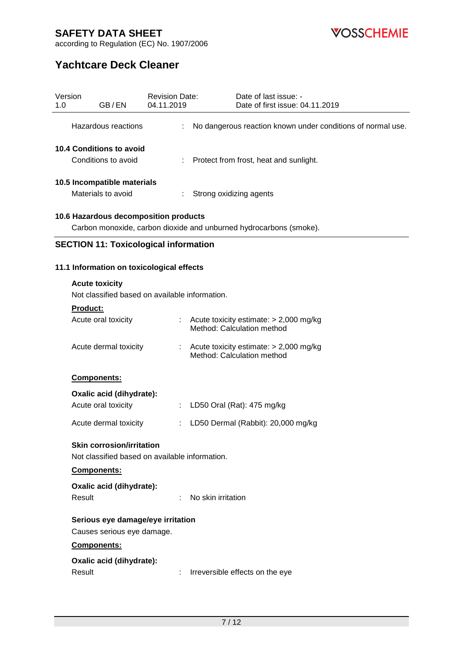**VOSSCHEMIE** 

according to Regulation (EC) No. 1907/2006

# **Yachtcare Deck Cleaner**

| Version<br>1.0 | GB/EN                                                                              | <b>Revision Date:</b><br>04.11.2019 | Date of last issue: -<br>Date of first issue: 04.11.2019               |  |  |
|----------------|------------------------------------------------------------------------------------|-------------------------------------|------------------------------------------------------------------------|--|--|
|                | Hazardous reactions                                                                |                                     | No dangerous reaction known under conditions of normal use.            |  |  |
|                | <b>10.4 Conditions to avoid</b>                                                    |                                     |                                                                        |  |  |
|                | Conditions to avoid                                                                |                                     | Protect from frost, heat and sunlight.                                 |  |  |
|                | 10.5 Incompatible materials                                                        |                                     |                                                                        |  |  |
|                | Materials to avoid                                                                 | ÷                                   | Strong oxidizing agents                                                |  |  |
|                | 10.6 Hazardous decomposition products                                              |                                     | Carbon monoxide, carbon dioxide and unburned hydrocarbons (smoke).     |  |  |
|                | <b>SECTION 11: Toxicological information</b>                                       |                                     |                                                                        |  |  |
|                |                                                                                    |                                     |                                                                        |  |  |
|                | 11.1 Information on toxicological effects                                          |                                     |                                                                        |  |  |
|                | <b>Acute toxicity</b><br>Not classified based on available information.            |                                     |                                                                        |  |  |
|                | <b>Product:</b>                                                                    |                                     |                                                                        |  |  |
|                | Acute oral toxicity                                                                | $\mathbb{Z}^{\times}$               | Acute toxicity estimate: > 2,000 mg/kg<br>Method: Calculation method   |  |  |
|                | Acute dermal toxicity                                                              |                                     | Acute toxicity estimate: $> 2,000$ mg/kg<br>Method: Calculation method |  |  |
|                | Components:                                                                        |                                     |                                                                        |  |  |
|                | Oxalic acid (dihydrate):                                                           |                                     |                                                                        |  |  |
|                | Acute oral toxicity                                                                |                                     | LD50 Oral (Rat): 475 mg/kg                                             |  |  |
|                | Acute dermal toxicity                                                              |                                     | LD50 Dermal (Rabbit): 20,000 mg/kg                                     |  |  |
|                | <b>Skin corrosion/irritation</b><br>Not classified based on available information. |                                     |                                                                        |  |  |
|                | Components:                                                                        |                                     |                                                                        |  |  |
|                | Oxalic acid (dihydrate):<br>Result                                                 |                                     | No skin irritation                                                     |  |  |
|                | Serious eye damage/eye irritation                                                  |                                     |                                                                        |  |  |
|                | Causes serious eye damage.                                                         |                                     |                                                                        |  |  |
|                | Components:                                                                        |                                     |                                                                        |  |  |
|                | Oxalic acid (dihydrate):                                                           |                                     |                                                                        |  |  |
|                | Result                                                                             |                                     | Irreversible effects on the eye                                        |  |  |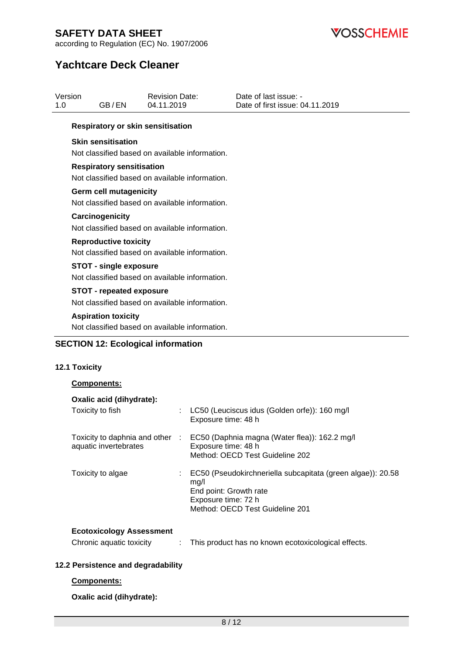

according to Regulation (EC) No. 1907/2006

# **Yachtcare Deck Cleaner**

| Version<br>1.0 | GB/EN                                    | <b>Revision Date:</b><br>04.11.2019            | Date of last issue: -<br>Date of first issue: 04.11.2019 |
|----------------|------------------------------------------|------------------------------------------------|----------------------------------------------------------|
|                | <b>Respiratory or skin sensitisation</b> |                                                |                                                          |
|                | <b>Skin sensitisation</b>                | Not classified based on available information. |                                                          |
|                | <b>Respiratory sensitisation</b>         | Not classified based on available information. |                                                          |
|                | Germ cell mutagenicity                   | Not classified based on available information. |                                                          |
|                | Carcinogenicity                          | Not classified based on available information. |                                                          |
|                | <b>Reproductive toxicity</b>             | Not classified based on available information. |                                                          |
|                | <b>STOT - single exposure</b>            | Not classified based on available information. |                                                          |
|                | <b>STOT - repeated exposure</b>          | Not classified based on available information. |                                                          |
|                | <b>Aspiration toxicity</b>               | Not classified based on available information. |                                                          |

## **SECTION 12: Ecological information**

## **12.1 Toxicity**

### **Components:**

| Oxalic acid (dihydrate):<br>Toxicity to fish                |   | LC50 (Leuciscus idus (Golden orfe)): 160 mg/l<br>Exposure time: 48 h                                                                                    |
|-------------------------------------------------------------|---|---------------------------------------------------------------------------------------------------------------------------------------------------------|
| Toxicity to daphnia and other :<br>aquatic invertebrates    |   | EC50 (Daphnia magna (Water flea)): 162.2 mg/l<br>Exposure time: 48 h<br>Method: OECD Test Guideline 202                                                 |
| Toxicity to algae                                           |   | EC50 (Pseudokirchneriella subcapitata (green algae)): 20.58<br>mg/l<br>End point: Growth rate<br>Exposure time: 72 h<br>Method: OECD Test Guideline 201 |
| <b>Ecotoxicology Assessment</b><br>Chronic aquatic toxicity | ÷ | This product has no known ecotoxicological effects.                                                                                                     |

## **12.2 Persistence and degradability**

### **Components:**

**Oxalic acid (dihydrate):**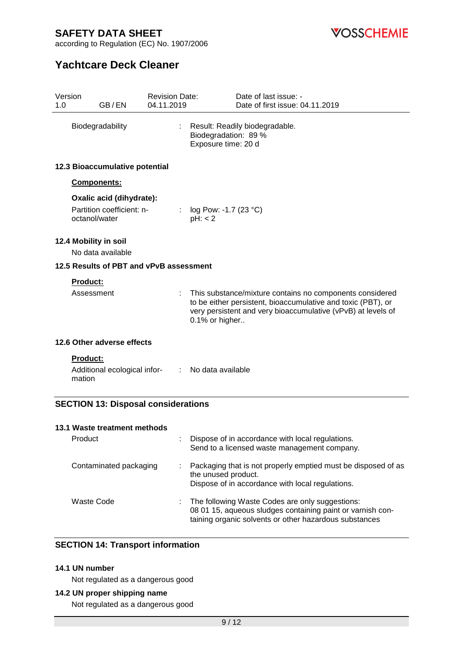**VOSSCHEMIE** 

according to Regulation (EC) No. 1907/2006

# **Yachtcare Deck Cleaner**

| 1.0              | Version<br>GB/EN                                                       | <b>Revision Date:</b><br>04.11.2019 | Date of last issue: -<br>Date of first issue: 04.11.2019                                                                                                                                                   |
|------------------|------------------------------------------------------------------------|-------------------------------------|------------------------------------------------------------------------------------------------------------------------------------------------------------------------------------------------------------|
| Biodegradability |                                                                        |                                     | Result: Readily biodegradable.<br>Biodegradation: 89 %<br>Exposure time: 20 d                                                                                                                              |
|                  | 12.3 Bioaccumulative potential                                         |                                     |                                                                                                                                                                                                            |
|                  | <b>Components:</b>                                                     |                                     |                                                                                                                                                                                                            |
|                  | Oxalic acid (dihydrate):<br>Partition coefficient: n-<br>octanol/water |                                     | log Pow: -1.7 (23 °C)<br>pH: < 2                                                                                                                                                                           |
|                  | 12.4 Mobility in soil<br>No data available                             |                                     |                                                                                                                                                                                                            |
|                  | 12.5 Results of PBT and vPvB assessment                                |                                     |                                                                                                                                                                                                            |
|                  | Product:<br>Assessment                                                 |                                     | This substance/mixture contains no components considered<br>to be either persistent, bioaccumulative and toxic (PBT), or<br>very persistent and very bioaccumulative (vPvB) at levels of<br>0.1% or higher |
|                  | 12.6 Other adverse effects                                             |                                     |                                                                                                                                                                                                            |
|                  | <b>Product:</b><br>Additional ecological infor-<br>mation              | $\mathcal{L}^{\mathcal{L}}$ .       | No data available                                                                                                                                                                                          |
|                  | <b>SECTION 13: Disposal considerations</b>                             |                                     |                                                                                                                                                                                                            |
|                  | 13.1 Waste treatment methods                                           |                                     |                                                                                                                                                                                                            |
|                  | Product                                                                |                                     | Dispose of in accordance with local regulations<br>Send to a licensed waste management company.                                                                                                            |
|                  | Contaminated packaging                                                 |                                     | Packaging that is not properly emptied must be disposed of as<br>the unused product.<br>Dispose of in accordance with local regulations.                                                                   |
|                  | <b>Waste Code</b>                                                      |                                     | The following Waste Codes are only suggestions:<br>08 01 15, aqueous sludges containing paint or varnish con-                                                                                              |

## **SECTION 14: Transport information**

## **14.1 UN number**

Not regulated as a dangerous good

## **14.2 UN proper shipping name**

Not regulated as a dangerous good

taining organic solvents or other hazardous substances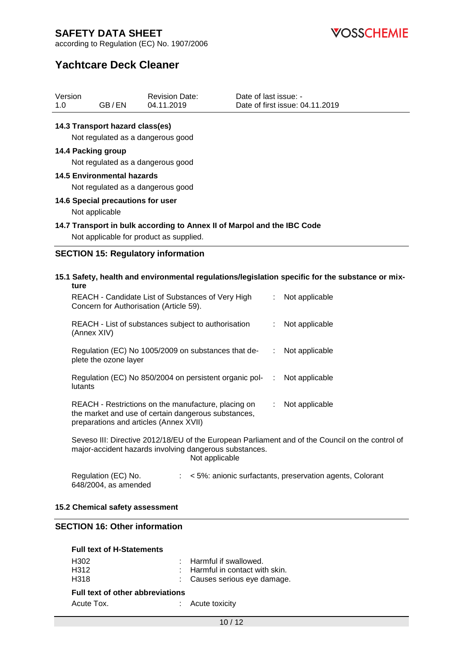*VOSSCHEMIE* 

according to Regulation (EC) No. 1907/2006

# **Yachtcare Deck Cleaner**

| Version |       | <b>Revision Date:</b> | Date of last issue: -           |
|---------|-------|-----------------------|---------------------------------|
| 1.0     | GB/EN | 04.11.2019            | Date of first issue: 04.11.2019 |

### **14.3 Transport hazard class(es)**

Not regulated as a dangerous good

### **14.4 Packing group**

Not regulated as a dangerous good

### **14.5 Environmental hazards**

Not regulated as a dangerous good

### **14.6 Special precautions for user**

Not applicable

### **14.7 Transport in bulk according to Annex II of Marpol and the IBC Code**

Not applicable for product as supplied.

## **SECTION 15: Regulatory information**

**15.1 Safety, health and environmental regulations/legislation specific for the substance or mixture** REACH - Candidate List of Substances of Very High [155] Not applicable Concern for Authorisation (Article 59).

| REACH - List of substances subject to authorisation<br>(Annex XIV)                                                                                   | t. | Not applicable |
|------------------------------------------------------------------------------------------------------------------------------------------------------|----|----------------|
| Regulation (EC) No 1005/2009 on substances that de-<br>plete the ozone layer                                                                         |    | Not applicable |
| Regulation (EC) No 850/2004 on persistent organic pol-<br>lutants                                                                                    |    | Not applicable |
| REACH - Restrictions on the manufacture, placing on<br>the market and use of certain dangerous substances,<br>preparations and articles (Annex XVII) |    | Not applicable |

Seveso III: Directive 2012/18/EU of the European Parliament and of the Council on the control of major-accident hazards involving dangerous substances. Not applicable

| Regulation (EC) No.  | < 5%: anionic surfactants, preservation agents, Colorant |  |  |
|----------------------|----------------------------------------------------------|--|--|
| 648/2004, as amended |                                                          |  |  |

#### **15.2 Chemical safety assessment**

## **SECTION 16: Other information**

| <b>Full text of H-Statements</b>        |  |                                            |  |
|-----------------------------------------|--|--------------------------------------------|--|
| H302                                    |  | $:$ Harmful if swallowed.                  |  |
| H312                                    |  | $\therefore$ Harmful in contact with skin. |  |
| H318                                    |  | : Causes serious eye damage.               |  |
| <b>Full text of other abbreviations</b> |  |                                            |  |

| Acute Tox. | Acute toxicity |
|------------|----------------|
|            |                |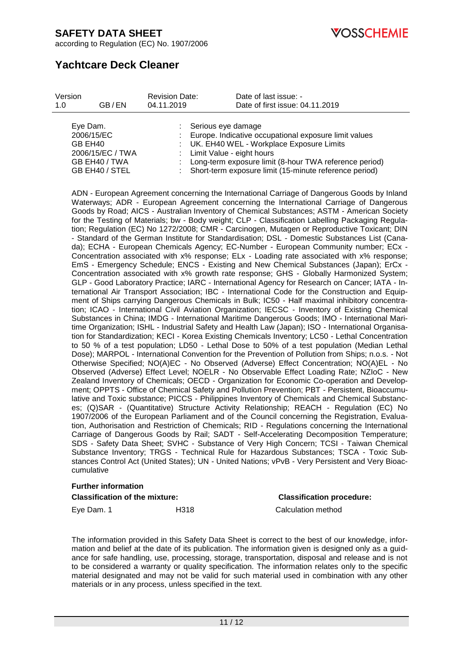**OSSCHEMIE** 

according to Regulation (EC) No. 1907/2006

# **Yachtcare Deck Cleaner**

| Version                           |                                                     | <b>Revision Date:</b> | Date of last issue: -                                                                                                                                                                                                                                                                |
|-----------------------------------|-----------------------------------------------------|-----------------------|--------------------------------------------------------------------------------------------------------------------------------------------------------------------------------------------------------------------------------------------------------------------------------------|
| 1.0                               | GB/EN                                               | 04.11.2019            | Date of first issue: 04.11.2019                                                                                                                                                                                                                                                      |
| Eye Dam.<br>2006/15/EC<br>GB EH40 | 2006/15/EC / TWA<br>GB EH40 / TWA<br>GB EH40 / STEL |                       | : Serious eye damage<br>: Europe. Indicative occupational exposure limit values<br>: UK. EH40 WEL - Workplace Exposure Limits<br>: Limit Value - eight hours<br>: Long-term exposure limit (8-hour TWA reference period)<br>: Short-term exposure limit (15-minute reference period) |

ADN - European Agreement concerning the International Carriage of Dangerous Goods by Inland Waterways; ADR - European Agreement concerning the International Carriage of Dangerous Goods by Road; AICS - Australian Inventory of Chemical Substances; ASTM - American Society for the Testing of Materials; bw - Body weight; CLP - Classification Labelling Packaging Regulation; Regulation (EC) No 1272/2008; CMR - Carcinogen, Mutagen or Reproductive Toxicant; DIN - Standard of the German Institute for Standardisation; DSL - Domestic Substances List (Canada); ECHA - European Chemicals Agency; EC-Number - European Community number; ECx - Concentration associated with x% response; ELx - Loading rate associated with x% response; EmS - Emergency Schedule; ENCS - Existing and New Chemical Substances (Japan); ErCx - Concentration associated with x% growth rate response; GHS - Globally Harmonized System; GLP - Good Laboratory Practice; IARC - International Agency for Research on Cancer; IATA - International Air Transport Association; IBC - International Code for the Construction and Equipment of Ships carrying Dangerous Chemicals in Bulk; IC50 - Half maximal inhibitory concentration; ICAO - International Civil Aviation Organization; IECSC - Inventory of Existing Chemical Substances in China; IMDG - International Maritime Dangerous Goods; IMO - International Maritime Organization; ISHL - Industrial Safety and Health Law (Japan); ISO - International Organisation for Standardization; KECI - Korea Existing Chemicals Inventory; LC50 - Lethal Concentration to 50 % of a test population; LD50 - Lethal Dose to 50% of a test population (Median Lethal Dose); MARPOL - International Convention for the Prevention of Pollution from Ships; n.o.s. - Not Otherwise Specified; NO(A)EC - No Observed (Adverse) Effect Concentration; NO(A)EL - No Observed (Adverse) Effect Level; NOELR - No Observable Effect Loading Rate; NZIoC - New Zealand Inventory of Chemicals; OECD - Organization for Economic Co-operation and Development; OPPTS - Office of Chemical Safety and Pollution Prevention; PBT - Persistent, Bioaccumulative and Toxic substance; PICCS - Philippines Inventory of Chemicals and Chemical Substances; (Q)SAR - (Quantitative) Structure Activity Relationship; REACH - Regulation (EC) No 1907/2006 of the European Parliament and of the Council concerning the Registration, Evaluation, Authorisation and Restriction of Chemicals; RID - Regulations concerning the International Carriage of Dangerous Goods by Rail; SADT - Self-Accelerating Decomposition Temperature; SDS - Safety Data Sheet; SVHC - Substance of Very High Concern; TCSI - Taiwan Chemical Substance Inventory; TRGS - Technical Rule for Hazardous Substances; TSCA - Toxic Substances Control Act (United States); UN - United Nations; vPvB - Very Persistent and Very Bioaccumulative

#### **Further information**

| <b>Classification of the mixture:</b> |      | <b>Classification procedure:</b> |
|---------------------------------------|------|----------------------------------|
| Eye Dam. 1                            | H318 | Calculation method               |

The information provided in this Safety Data Sheet is correct to the best of our knowledge, information and belief at the date of its publication. The information given is designed only as a guidance for safe handling, use, processing, storage, transportation, disposal and release and is not to be considered a warranty or quality specification. The information relates only to the specific material designated and may not be valid for such material used in combination with any other materials or in any process, unless specified in the text.